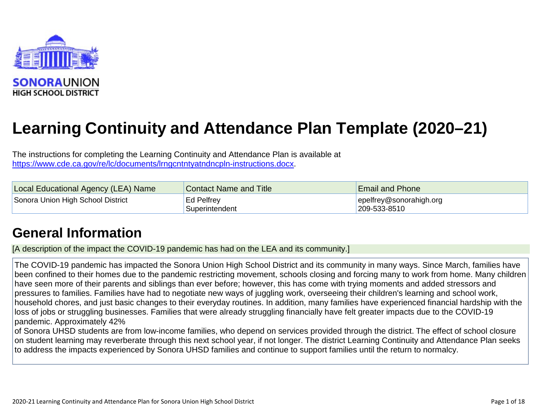

# **Learning Continuity and Attendance Plan Template (2020–21)**

The instructions for completing the Learning Continuity and Attendance Plan is available at [https://www.cde.ca.gov/re/lc/documents/lrngcntntyatndncpln-instructions.docx.](https://www.cde.ca.gov/re/lc/documents/lrngcntntyatndncpln-instructions.docx)

| <b>Local Educational Agency (LEA) Name</b> | <b>Contact Name and Title</b> | <b>Email and Phone</b>           |
|--------------------------------------------|-------------------------------|----------------------------------|
| Sonora Union High School District          | ⊦Ed Pelfrey                   | $\left $ epelfrey@sonorahigh.org |
|                                            | Superintendent                | $ 209 - 533 - 8510 $             |

## **[General Information](http://www.doc-tracking.com/screenshots/20LCP/Instructions/20LCPInstructions.htm#generalinformation)**

[A description of the impact the COVID-19 pandemic has had on the LEA and its community.]

The COVID-19 pandemic has impacted the Sonora Union High School District and its community in many ways. Since March, families have been confined to their homes due to the pandemic restricting movement, schools closing and forcing many to work from home. Many children have seen more of their parents and siblings than ever before; however, this has come with trying moments and added stressors and pressures to families. Families have had to negotiate new ways of juggling work, overseeing their children's learning and school work, household chores, and just basic changes to their everyday routines. In addition, many families have experienced financial hardship with the loss of jobs or struggling businesses. Families that were already struggling financially have felt greater impacts due to the COVID-19 pandemic. Approximately 42%

of Sonora UHSD students are from low-income families, who depend on services provided through the district. The effect of school closure on student learning may reverberate through this next school year, if not longer. The district Learning Continuity and Attendance Plan seeks to address the impacts experienced by Sonora UHSD families and continue to support families until the return to normalcy.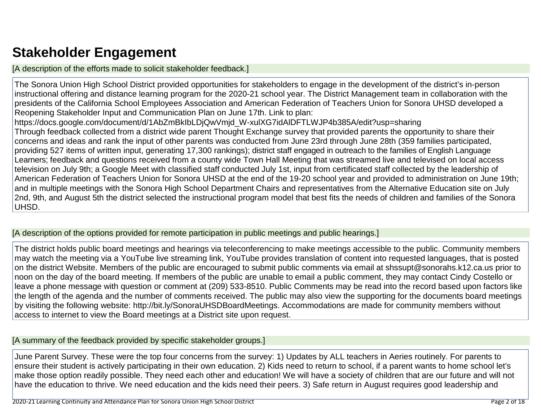## **[Stakeholder Engagement](http://www.doc-tracking.com/screenshots/20LCP/Instructions/20LCPInstructions.htm#stakeholderengagement)**

[A description of the efforts made to solicit stakeholder feedback.]

The Sonora Union High School District provided opportunities for stakeholders to engage in the development of the district's in-person instructional offering and distance learning program for the 2020-21 school year. The District Management team in collaboration with the presidents of the California School Employees Association and American Federation of Teachers Union for Sonora UHSD developed a Reopening Stakeholder Input and Communication Plan on June 17th. Link to plan: https://docs.google.com/document/d/1AbZmBkIbLDjQwVmjd\_W-xulXG7idAlDFTLWJP4b385A/edit?usp=sharing Through feedback collected from a district wide parent Thought Exchange survey that provided parents the opportunity to share their concerns and ideas and rank the input of other parents was conducted from June 23rd through June 28th (359 families participated, providing 527 items of written input, generating 17,300 rankings); district staff engaged in outreach to the families of English Language Learners; feedback and questions received from a county wide Town Hall Meeting that was streamed live and televised on local access television on July 9th; a Google Meet with classified staff conducted July 1st, input from certificated staff collected by the leadership of American Federation of Teachers Union for Sonora UHSD at the end of the 19-20 school year and provided to administration on June 19th; and in multiple meetings with the Sonora High School Department Chairs and representatives from the Alternative Education site on July 2nd, 9th, and August 5th the district selected the instructional program model that best fits the needs of children and families of the Sonora UHSD.

[A description of the options provided for remote participation in public meetings and public hearings.]

The district holds public board meetings and hearings via teleconferencing to make meetings accessible to the public. Community members may watch the meeting via a YouTube live streaming link, YouTube provides translation of content into requested languages, that is posted on the district Website. Members of the public are encouraged to submit public comments via email at shssupt@sonorahs.k12.ca.us prior to noon on the day of the board meeting. If members of the public are unable to email a public comment, they may contact Cindy Costello or leave a phone message with question or comment at (209) 533-8510. Public Comments may be read into the record based upon factors like the length of the agenda and the number of comments received. The public may also view the supporting for the documents board meetings by visiting the following website: [http://bit.ly/SonoraUHSDBoardMeetings.](http://bit.ly/SonoraUHSDBoardMeetings) Accommodations are made for community members without access to internet to view the Board meetings at a District site upon request.

#### [A summary of the feedback provided by specific stakeholder groups.]

June Parent Survey. These were the top four concerns from the survey: 1) Updates by ALL teachers in Aeries routinely. For parents to ensure their student is actively participating in their own education. 2) Kids need to return to school, if a parent wants to home school let's make those option readily possible. They need each other and education! We will have a society of children that are our future and will not have the education to thrive. We need education and the kids need their peers. 3) Safe return in August requires good leadership and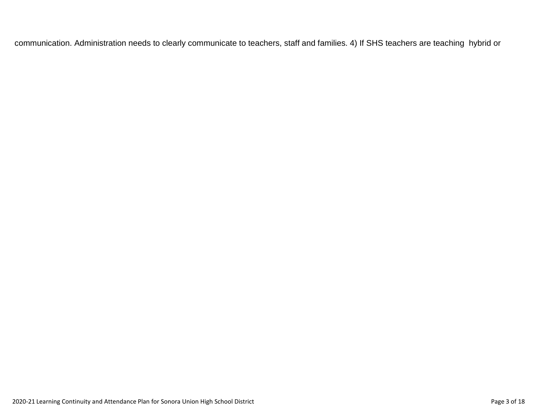communication. Administration needs to clearly communicate to teachers, staff and families. 4) If SHS teachers are teaching hybrid or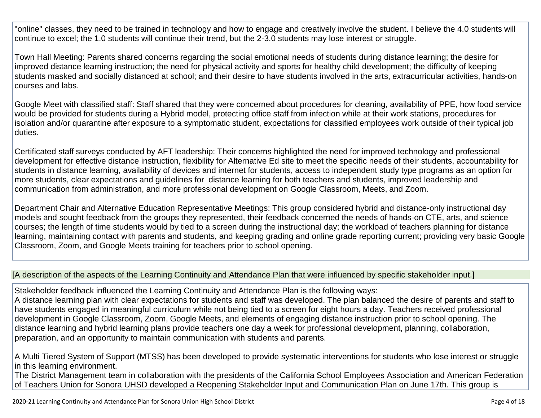"online" classes, they need to be trained in technology and how to engage and creatively involve the student. I believe the 4.0 students will continue to excel; the 1.0 students will continue their trend, but the 2-3.0 students may lose interest or struggle.

Town Hall Meeting: Parents shared concerns regarding the social emotional needs of students during distance learning; the desire for improved distance learning instruction; the need for physical activity and sports for healthy child development; the difficulty of keeping students masked and socially distanced at school; and their desire to have students involved in the arts, extracurricular activities, hands-on courses and labs.

Google Meet with classified staff: Staff shared that they were concerned about procedures for cleaning, availability of PPE, how food service would be provided for students during a Hybrid model, protecting office staff from infection while at their work stations, procedures for isolation and/or quarantine after exposure to a symptomatic student, expectations for classified employees work outside of their typical job duties.

Certificated staff surveys conducted by AFT leadership: Their concerns highlighted the need for improved technology and professional development for effective distance instruction, flexibility for Alternative Ed site to meet the specific needs of their students, accountability for students in distance learning, availability of devices and internet for students, access to independent study type programs as an option for more students, clear expectations and guidelines for distance learning for both teachers and students, improved leadership and communication from administration, and more professional development on Google Classroom, Meets, and Zoom.

Department Chair and Alternative Education Representative Meetings: This group considered hybrid and distance-only instructional day models and sought feedback from the groups they represented, their feedback concerned the needs of hands-on CTE, arts, and science courses; the length of time students would by tied to a screen during the instructional day; the workload of teachers planning for distance learning, maintaining contact with parents and students, and keeping grading and online grade reporting current; providing very basic Google Classroom, Zoom, and Google Meets training for teachers prior to school opening.

#### [A description of the aspects of the Learning Continuity and Attendance Plan that were influenced by specific stakeholder input.]

Stakeholder feedback influenced the Learning Continuity and Attendance Plan is the following ways:

A distance learning plan with clear expectations for students and staff was developed. The plan balanced the desire of parents and staff to have students engaged in meaningful curriculum while not being tied to a screen for eight hours a day. Teachers received professional development in Google Classroom, Zoom, Google Meets, and elements of engaging distance instruction prior to school opening. The distance learning and hybrid learning plans provide teachers one day a week for professional development, planning, collaboration, preparation, and an opportunity to maintain communication with students and parents.

A Multi Tiered System of Support (MTSS) has been developed to provide systematic interventions for students who lose interest or struggle in this learning environment.

The District Management team in collaboration with the presidents of the California School Employees Association and American Federation of Teachers Union for Sonora UHSD developed a Reopening Stakeholder Input and Communication Plan on June 17th. This group is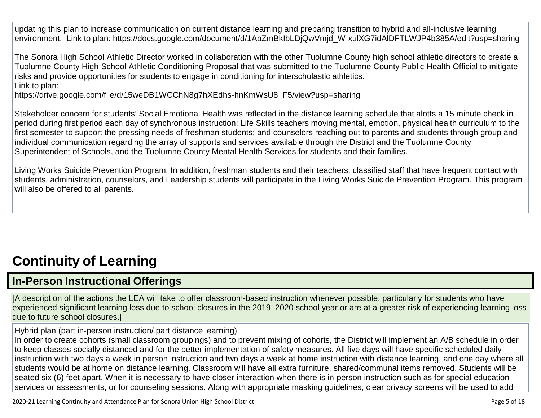updating this plan to increase communication on current distance learning and preparing transition to hybrid and all-inclusive learning environment. Link to plan: https://docs.google.com/document/d/1AbZmBkIbLDjQwVmjd\_W-xulXG7idAlDFTLWJP4b385A/edit?usp=sharing

The Sonora High School Athletic Director worked in collaboration with the other Tuolumne County high school athletic directors to create a Tuolumne County High School Athletic Conditioning Proposal that was submitted to the Tuolumne County Public Health Official to mitigate risks and provide opportunities for students to engage in conditioning for interscholastic athletics. Link to plan:

https://drive.google.com/file/d/15weDB1WCChN8g7hXEdhs-hnKmWsU8\_F5/view?usp=sharing

Stakeholder concern for students' Social Emotional Health was reflected in the distance learning schedule that alotts a 15 minute check in period during first period each day of synchronous instruction; Life Skills teachers moving mental, emotion, physical health curriculum to the first semester to support the pressing needs of freshman students; and counselors reaching out to parents and students through group and individual communication regarding the array of supports and services available through the District and the Tuolumne County Superintendent of Schools, and the Tuolumne County Mental Health Services for students and their families.

Living Works Suicide Prevention Program: In addition, freshman students and their teachers, classified staff that have frequent contact with students, administration, counselors, and Leadership students will participate in the Living Works Suicide Prevention Program. This program will also be offered to all parents.

## **[Continuity](http://www.doc-tracking.com/screenshots/20LCP/Instructions/20LCPInstructions.htm#ContinuityofLearning) of Learning**

## **In-Person [Instructional](http://www.doc-tracking.com/screenshots/20LCP/Instructions/20LCPInstructions.htm#ContinuityofLearning1) Offerings**

[A description of the actions the LEA will take to offer classroom-based instruction whenever possible, particularly for students who have experienced significant learning loss due to school closures in the 2019–2020 school year or are at a greater risk of experiencing learning loss due to future school closures.]

Hybrid plan (part in-person instruction/ part distance learning)

In order to create cohorts (small classroom groupings) and to prevent mixing of cohorts, the District will implement an A/B schedule in order to keep classes socially distanced and for the better implementation of safety measures. All five days will have specific scheduled daily instruction with two days a week in person instruction and two days a week at home instruction with distance learning, and one day where all students would be at home on distance learning. Classroom will have all extra furniture, shared/communal items removed. Students will be seated six (6) feet apart. When it is necessary to have closer interaction when there is in-person instruction such as for special education services or assessments, or for counseling sessions. Along with appropriate masking guidelines, clear privacy screens will be used to add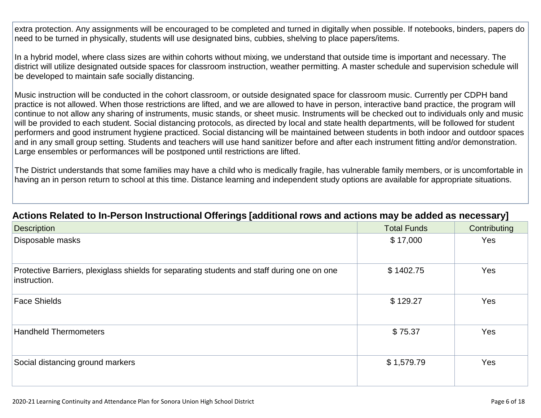extra protection. Any assignments will be encouraged to be completed and turned in digitally when possible. If notebooks, binders, papers do need to be turned in physically, students will use designated bins, cubbies, shelving to place papers/items.

In a hybrid model, where class sizes are within cohorts without mixing, we understand that outside time is important and necessary. The district will utilize designated outside spaces for classroom instruction, weather permitting. A master schedule and supervision schedule will be developed to maintain safe socially distancing.

Music instruction will be conducted in the cohort classroom, or outside designated space for classroom music. Currently per CDPH band practice is not allowed. When those restrictions are lifted, and we are allowed to have in person, interactive band practice, the program will continue to not allow any sharing of instruments, music stands, or sheet music. Instruments will be checked out to individuals only and music will be provided to each student. Social distancing protocols, as directed by local and state health departments, will be followed for student performers and good instrument hygiene practiced. Social distancing will be maintained between students in both indoor and outdoor spaces and in any small group setting. Students and teachers will use hand sanitizer before and after each instrument fitting and/or demonstration. Large ensembles or performances will be postponed until restrictions are lifted.

The District understands that some families may have a child who is medically fragile, has vulnerable family members, or is uncomfortable in having an in person return to school at this time. Distance learning and independent study options are available for appropriate situations.

| Description                                                                                                 | <b>Total Funds</b> | Contributing |
|-------------------------------------------------------------------------------------------------------------|--------------------|--------------|
| Disposable masks                                                                                            | \$17,000           | Yes          |
| Protective Barriers, plexiglass shields for separating students and staff during one on one<br>instruction. | \$1402.75          | Yes          |
| Face Shields                                                                                                | \$129.27           | Yes          |
| <b>Handheld Thermometers</b>                                                                                | \$75.37            | Yes          |
| Social distancing ground markers                                                                            | \$1,579.79         | Yes          |

## **Actions Related to In-Person Instructional Offerings [additional rows and actions may be added [as necessary\]](http://www.doc-tracking.com/screenshots/20LCP/Instructions/20LCPInstructions.htm#ContinuityofLearning2)**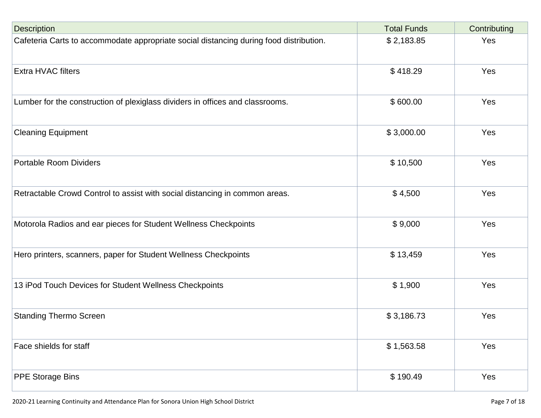| <b>Description</b>                                                                     | <b>Total Funds</b> | Contributing |
|----------------------------------------------------------------------------------------|--------------------|--------------|
| Cafeteria Carts to accommodate appropriate social distancing during food distribution. | \$2,183.85         | Yes          |
| <b>Extra HVAC filters</b>                                                              | \$418.29           | Yes          |
| Lumber for the construction of plexiglass dividers in offices and classrooms.          | \$600.00           | Yes          |
| <b>Cleaning Equipment</b>                                                              | \$3,000.00         | Yes          |
| <b>Portable Room Dividers</b>                                                          | \$10,500           | Yes          |
| Retractable Crowd Control to assist with social distancing in common areas.            | \$4,500            | Yes          |
| Motorola Radios and ear pieces for Student Wellness Checkpoints                        | \$9,000            | Yes          |
| Hero printers, scanners, paper for Student Wellness Checkpoints                        | \$13,459           | Yes          |
| 13 iPod Touch Devices for Student Wellness Checkpoints                                 | \$1,900            | Yes          |
| <b>Standing Thermo Screen</b>                                                          | \$3,186.73         | Yes          |
| Face shields for staff                                                                 | \$1,563.58         | Yes          |
| <b>PPE Storage Bins</b>                                                                | \$190.49           | Yes          |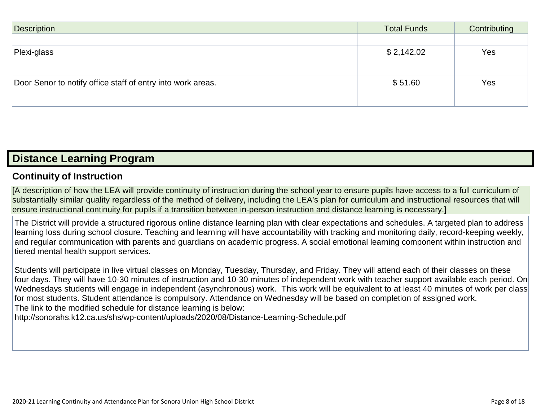| Description                                                 | <b>Total Funds</b> | Contributing |
|-------------------------------------------------------------|--------------------|--------------|
|                                                             |                    |              |
| Plexi-glass                                                 | \$2,142.02         | Yes          |
|                                                             |                    |              |
|                                                             |                    |              |
| Door Senor to notify office staff of entry into work areas. | \$51.60            | Yes          |
|                                                             |                    |              |

## **[Distance Learning](http://www.doc-tracking.com/screenshots/20LCP/Instructions/20LCPInstructions.htm#DistanceLearningProgram) Program**

### **Continuity of [Instruction](http://www.doc-tracking.com/screenshots/20LCP/Instructions/20LCPInstructions.htm#DistanceLearningProgram1)**

[A description of how the LEA will provide continuity of instruction during the school year to ensure pupils have access to a full curriculum of substantially similar quality regardless of the method of delivery, including the LEA's plan for curriculum and instructional resources that will ensure instructional continuity for pupils if a transition between in-person instruction and distance learning is necessary.]

The District will provide a structured rigorous online distance learning plan with clear expectations and schedules. A targeted plan to address learning loss during school closure. Teaching and learning will have accountability with tracking and monitoring daily, record-keeping weekly, and regular communication with parents and guardians on academic progress. A social emotional learning component within instruction and tiered mental health support services.

Students will participate in live virtual classes on Monday, Tuesday, Thursday, and Friday. They will attend each of their classes on these four days. They will have 10-30 minutes of instruction and 10-30 minutes of independent work with teacher support available each period. On Wednesdays students will engage in independent (asynchronous) work. This work will be equivalent to at least 40 minutes of work per class for most students. Student attendance is compulsory. Attendance on Wednesday will be based on completion of assigned work. The link to the modified schedule for distance learning is below:

<http://sonorahs.k12.ca.us/shs/wp-content/uploads/2020/08/Distance-Learning-Schedule.pdf>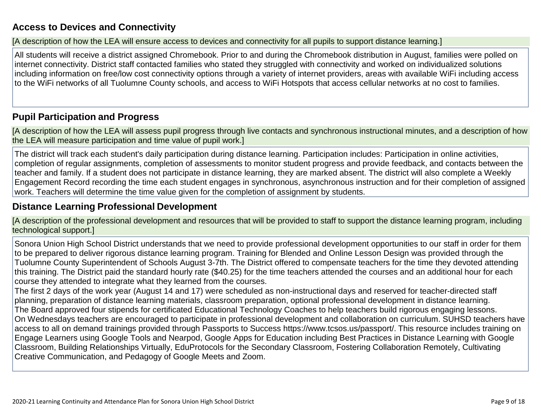### **Access to Devices and [Connectivity](http://www.doc-tracking.com/screenshots/20LCP/Instructions/20LCPInstructions.htm#DistanceLearningProgram2)**

[A description of how the LEA will ensure access to devices and connectivity for all pupils to support distance learning.]

All students will receive a district assigned Chromebook. Prior to and during the Chromebook distribution in August, families were polled on internet connectivity. District staff contacted families who stated they struggled with connectivity and worked on individualized solutions including information on free/low cost connectivity options through a variety of internet providers, areas with available WiFi including access to the WiFi networks of all Tuolumne County schools, and access to WiFi Hotspots that access cellular networks at no cost to families.

### **Pupil [Participation](http://www.doc-tracking.com/screenshots/20LCP/Instructions/20LCPInstructions.htm#DistanceLearningProgram3) and Progress**

[A description of how the LEA will assess pupil progress through live contacts and synchronous instructional minutes, and a description of how the LEA will measure participation and time value of pupil work.]

The district will track each student's daily participation during distance learning. Participation includes: Participation in online activities, completion of regular assignments, completion of assessments to monitor student progress and provide feedback, and contacts between the teacher and family. If a student does not participate in distance learning, they are marked absent. The district will also complete a Weekly Engagement Record recording the time each student engages in synchronous, asynchronous instruction and for their completion of assigned work. Teachers will determine the time value given for the completion of assignment by students.

### **[Distance Learning](http://www.doc-tracking.com/screenshots/20LCP/Instructions/20LCPInstructions.htm#DistanceLearningProgram4) Professional Development**

[A description of the professional development and resources that will be provided to staff to support the distance learning program, including technological support.]

Sonora Union High School District understands that we need to provide professional development opportunities to our staff in order for them to be prepared to deliver rigorous distance learning program. Training for Blended and Online Lesson Design was provided through the Tuolumne County Superintendent of Schools August 3-7th. The District offered to compensate teachers for the time they devoted attending this training. The District paid the standard hourly rate (\$40.25) for the time teachers attended the courses and an additional hour for each course they attended to integrate what they learned from the courses.

The first 2 days of the work year (August 14 and 17) were scheduled as non-instructional days and reserved for teacher-directed staff planning, preparation of distance learning materials, classroom preparation, optional professional development in distance learning. The Board approved four stipends for certificated Educational Technology Coaches to help teachers build rigorous engaging lessons. On Wednesdays teachers are encouraged to participate in professional development and collaboration on curriculum. SUHSD teachers have access to all on demand trainings provided through Passports to Success https://www.tcsos.us/passport/. This resource includes training on Engage Learners using Google Tools and Nearpod, Google Apps for Education including Best Practices in Distance Learning with Google Classroom, Building Relationships Virtually, EduProtocols for the Secondary Classroom, Fostering Collaboration Remotely, Cultivating Creative Communication, and Pedagogy of Google Meets and Zoom.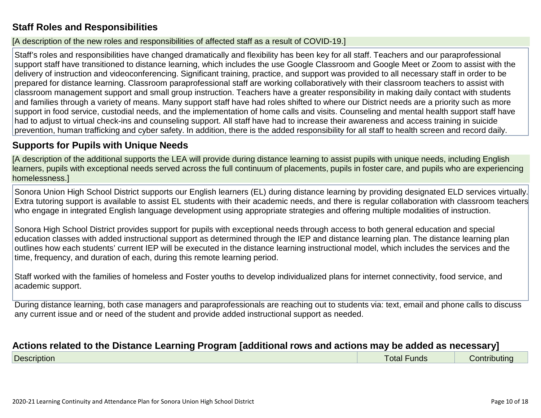## **Staff Roles and [Responsibilities](http://www.doc-tracking.com/screenshots/20LCP/Instructions/20LCPInstructions.htm#DistanceLearningProgram5)**

#### [A description of the new roles and responsibilities of affected staff as a result of COVID-19.]

Staff's roles and responsibilities have changed dramatically and flexibility has been key for all staff. Teachers and our paraprofessional support staff have transitioned to distance learning, which includes the use Google Classroom and Google Meet or Zoom to assist with the delivery of instruction and videoconferencing. Significant training, practice, and support was provided to all necessary staff in order to be prepared for distance learning. Classroom paraprofessional staff are working collaboratively with their classroom teachers to assist with classroom management support and small group instruction. Teachers have a greater responsibility in making daily contact with students and families through a variety of means. Many support staff have had roles shifted to where our District needs are a priority such as more support in food service, custodial needs, and the implementation of home calls and visits. Counseling and mental health support staff have had to adjust to virtual check-ins and counseling support. All staff have had to increase their awareness and access training in suicide prevention, human trafficking and cyber safety. In addition, there is the added responsibility for all staff to health screen and record daily.

### **Supports [for Pupils](http://www.doc-tracking.com/screenshots/20LCP/Instructions/20LCPInstructions.htm#DistanceLearningProgram6) with Unique Needs**

[A description of the additional supports the LEA will provide during distance learning to assist pupils with unique needs, including English learners, pupils with exceptional needs served across the full continuum of placements, pupils in foster care, and pupils who are experiencing homelessness.]

Sonora Union High School District supports our English learners (EL) during distance learning by providing designated ELD services virtually. Extra tutoring support is available to assist EL students with their academic needs, and there is regular collaboration with classroom teachers who engage in integrated English language development using appropriate strategies and offering multiple modalities of instruction.

Sonora High School District provides support for pupils with exceptional needs through access to both general education and special education classes with added instructional support as determined through the IEP and distance learning plan. The distance learning plan outlines how each students' current IEP will be executed in the distance learning instructional model, which includes the services and the time, frequency, and duration of each, during this remote learning period.

Staff worked with the families of homeless and Foster youths to develop individualized plans for internet connectivity, food service, and academic support.

During distance learning, both case managers and paraprofessionals are reaching out to students via: text, email and phone calls to discuss any current issue and or need of the student and provide added instructional support as needed.

#### **Actions related to [the Distance Learning](http://www.doc-tracking.com/screenshots/20LCP/Instructions/20LCPInstructions.htm#DistanceLearningProgram7) Program [additional rows and actions may be added as necessary]**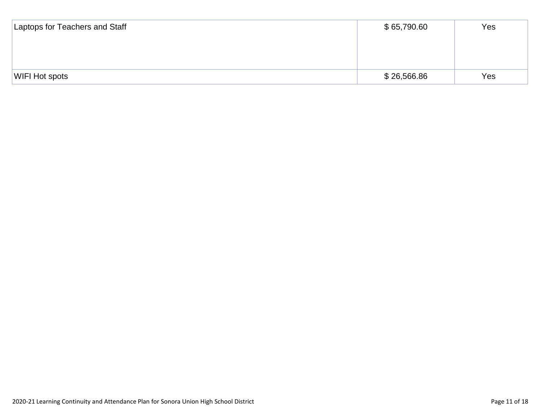| Laptops for Teachers and Staff | \$65,790.60 | Yes |
|--------------------------------|-------------|-----|
|                                |             |     |
|                                |             |     |
|                                |             |     |
| WIFI Hot spots                 | \$26,566.86 | Yes |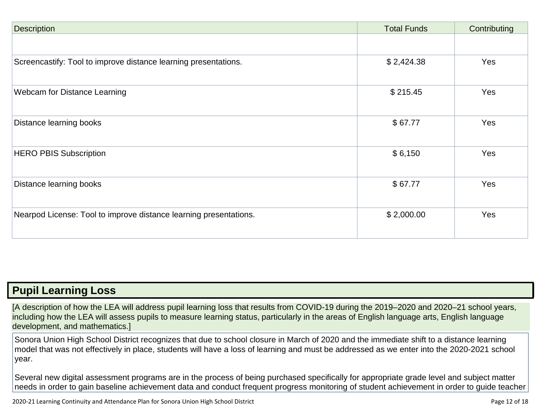| <b>Description</b>                                                | <b>Total Funds</b> | Contributing |
|-------------------------------------------------------------------|--------------------|--------------|
|                                                                   |                    |              |
| Screencastify: Tool to improve distance learning presentations.   | \$2,424.38         | Yes          |
| Webcam for Distance Learning                                      | \$215.45           | <b>Yes</b>   |
| Distance learning books                                           | \$67.77            | Yes          |
| <b>HERO PBIS Subscription</b>                                     | \$6,150            | Yes          |
| Distance learning books                                           | \$67.77            | Yes          |
| Nearpod License: Tool to improve distance learning presentations. | \$2,000.00         | Yes          |

## **Pupil [Learning](http://www.doc-tracking.com/screenshots/20LCP/Instructions/20LCPInstructions.htm#PupilLearningLoss) Loss**

[A description of how the LEA will address pupil learning loss that results from COVID-19 during the 2019–2020 and 2020–21 school years, including how the LEA will assess pupils to measure learning status, particularly in the areas of English language arts, English language development, and mathematics.]

Sonora Union High School District recognizes that due to school closure in March of 2020 and the immediate shift to a distance learning model that was not effectively in place, students will have a loss of learning and must be addressed as we enter into the 2020-2021 school year.

Several new digital assessment programs are in the process of being purchased specifically for appropriate grade level and subject matter needs in order to gain baseline achievement data and conduct frequent progress monitoring of student achievement in order to guide teacher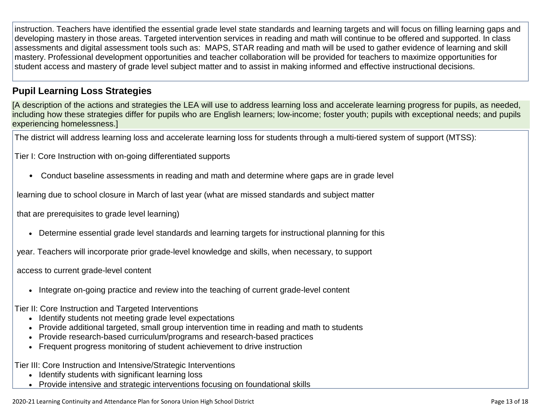instruction. Teachers have identified the essential grade level state standards and learning targets and will focus on filling learning gaps and developing mastery in those areas. Targeted intervention services in reading and math will continue to be offered and supported. In class assessments and digital assessment tools such as: MAPS, STAR reading and math will be used to gather evidence of learning and skill mastery. Professional development opportunities and teacher collaboration will be provided for teachers to maximize opportunities for student access and mastery of grade level subject matter and to assist in making informed and effective instructional decisions.

## **Pupil Learning Loss [Strategies](http://www.doc-tracking.com/screenshots/20LCP/Instructions/20LCPInstructions.htm#PupilLearningLoss1)**

[A description of the actions and strategies the LEA will use to address learning loss and accelerate learning progress for pupils, as needed, including how these strategies differ for pupils who are English learners; low-income; foster youth; pupils with exceptional needs; and pupils experiencing homelessness.]

The district will address learning loss and accelerate learning loss for students through a multi-tiered system of support (MTSS):

Tier I: Core Instruction with on-going differentiated supports

• Conduct baseline assessments in reading and math and determine where gaps are in grade level

learning due to school closure in March of last year (what are missed standards and subject matter

that are prerequisites to grade level learning)

• Determine essential grade level standards and learning targets for instructional planning for this

year. Teachers will incorporate prior grade-level knowledge and skills, when necessary, to support

access to current grade-level content

• Integrate on-going practice and review into the teaching of current grade-level content

Tier II: Core Instruction and Targeted Interventions

- Identify students not meeting grade level expectations
- Provide additional targeted, small group intervention time in reading and math to students
- Provide research-based curriculum/programs and research-based practices
- Frequent progress monitoring of student achievement to drive instruction

Tier III: Core Instruction and Intensive/Strategic Interventions

- Identify students with significant learning loss
- Provide intensive and strategic interventions focusing on foundational skills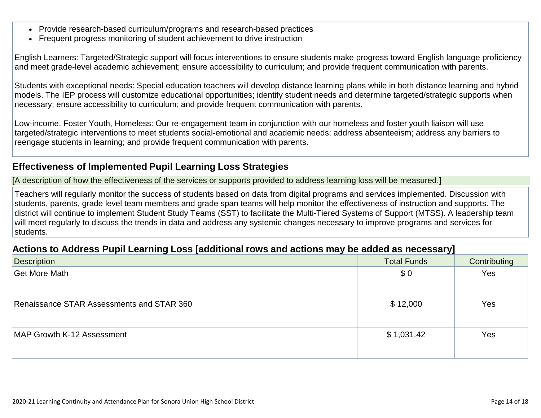- Provide research-based curriculum/programs and research-based practices
- Frequent progress monitoring of student achievement to drive instruction

English Learners: Targeted/Strategic support will focus interventions to ensure students make progress toward English language proficiency and meet grade-level academic achievement; ensure accessibility to curriculum; and provide frequent communication with parents.

Students with exceptional needs: Special education teachers will develop distance learning plans while in both distance learning and hybrid models. The IEP process will customize educational opportunities; identify student needs and determine targeted/strategic supports when necessary; ensure accessibility to curriculum; and provide frequent communication with parents.

Low-income, Foster Youth, Homeless: Our re-engagement team in conjunction with our homeless and foster youth liaison will use targeted/strategic interventions to meet students social-emotional and academic needs; address absenteeism; address any barriers to reengage students in learning; and provide frequent communication with parents.

## **[Effectiveness of](http://www.doc-tracking.com/screenshots/20LCP/Instructions/20LCPInstructions.htm#PupilLearningLoss2) Implemented Pupil Learning Loss Strategies**

[A description of how the effectiveness of the services or supports provided to address learning loss will be measured.]

Teachers will regularly monitor the success of students based on data from digital programs and services implemented. Discussion with students, parents, grade level team members and grade span teams will help monitor the effectiveness of instruction and supports. The district will continue to implement Student Study Teams (SST) to facilitate the Multi-Tiered Systems of Support (MTSS). A leadership team will meet regularly to discuss the trends in data and address any systemic changes necessary to improve programs and services for students.

### **Actions to [Address Pupil](http://www.doc-tracking.com/screenshots/20LCP/Instructions/20LCPInstructions.htm#PupilLearningLoss4) Learning Loss [additional rows and actions may be added as necessary]**

| <b>Description</b>                        | __<br><b>Total Funds</b> | Contributing |
|-------------------------------------------|--------------------------|--------------|
| Get More Math                             | \$0                      | Yes          |
|                                           |                          |              |
| Renaissance STAR Assessments and STAR 360 | \$12,000                 | Yes          |
|                                           |                          |              |
| MAP Growth K-12 Assessment                | \$1,031.42               | Yes          |
|                                           |                          |              |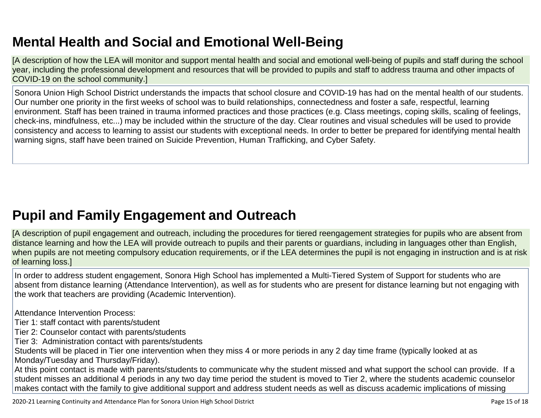## **Mental Health and Social and Emotional [Well-Being](http://www.doc-tracking.com/screenshots/20LCP/Instructions/20LCPInstructions.htm#MentalHealthandSocialandEmotional)**

[A description of how the LEA will monitor and support mental health and social and emotional well-being of pupils and staff during the school year, including the professional development and resources that will be provided to pupils and staff to address trauma and other impacts of COVID-19 on the school community.]

Sonora Union High School District understands the impacts that school closure and COVID-19 has had on the mental health of our students. Our number one priority in the first weeks of school was to build relationships, connectedness and foster a safe, respectful, learning environment. Staff has been trained in trauma informed practices and those practices (e.g. Class meetings, coping skills, scaling of feelings, check-ins, mindfulness, etc...) may be included within the structure of the day. Clear routines and visual schedules will be used to provide consistency and access to learning to assist our students with exceptional needs. In order to better be prepared for identifying mental health warning signs, staff have been trained on Suicide Prevention, Human Trafficking, and Cyber Safety.

## **Pupil and Family [Engagement](http://www.doc-tracking.com/screenshots/20LCP/Instructions/20LCPInstructions.htm#PupilEngagementandOutreach) and Outreach**

[A description of pupil engagement and outreach, including the procedures for tiered reengagement strategies for pupils who are absent from distance learning and how the LEA will provide outreach to pupils and their parents or guardians, including in languages other than English, when pupils are not meeting compulsory education requirements, or if the LEA determines the pupil is not engaging in instruction and is at risk of learning loss.]

In order to address student engagement, Sonora High School has implemented a Multi-Tiered System of Support for students who are absent from distance learning (Attendance Intervention), as well as for students who are present for distance learning but not engaging with the work that teachers are providing (Academic Intervention).

Attendance Intervention Process:

Tier 1: staff contact with parents/student

- Tier 2: Counselor contact with parents/students
- Tier 3: Administration contact with parents/students

Students will be placed in Tier one intervention when they miss 4 or more periods in any 2 day time frame (typically looked at as Monday/Tuesday and Thursday/Friday).

At this point contact is made with parents/students to communicate why the student missed and what support the school can provide. If a student misses an additional 4 periods in any two day time period the student is moved to Tier 2, where the students academic counselor makes contact with the family to give additional support and address student needs as well as discuss academic implications of missing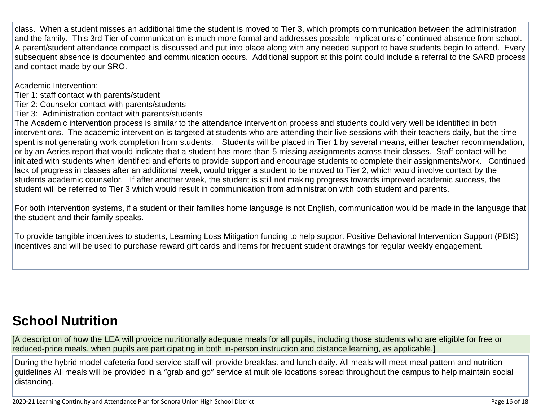class. When a student misses an additional time the student is moved to Tier 3, which prompts communication between the administration and the family. This 3rd Tier of communication is much more formal and addresses possible implications of continued absence from school. A parent/student attendance compact is discussed and put into place along with any needed support to have students begin to attend. Every subsequent absence is documented and communication occurs. Additional support at this point could include a referral to the SARB process and contact made by our SRO.

Academic Intervention:

Tier 1: staff contact with parents/student

Tier 2: Counselor contact with parents/students

Tier 3: Administration contact with parents/students

The Academic intervention process is similar to the attendance intervention process and students could very well be identified in both interventions. The academic intervention is targeted at students who are attending their live sessions with their teachers daily, but the time spent is not generating work completion from students. Students will be placed in Tier 1 by several means, either teacher recommendation, or by an Aeries report that would indicate that a student has more than 5 missing assignments across their classes. Staff contact will be initiated with students when identified and efforts to provide support and encourage students to complete their assignments/work. Continued lack of progress in classes after an additional week, would trigger a student to be moved to Tier 2, which would involve contact by the students academic counselor. If after another week, the student is still not making progress towards improved academic success, the student will be referred to Tier 3 which would result in communication from administration with both student and parents.

For both intervention systems, if a student or their families home language is not English, communication would be made in the language that the student and their family speaks.

To provide tangible incentives to students, Learning Loss Mitigation funding to help support Positive Behavioral Intervention Support (PBIS) incentives and will be used to purchase reward gift cards and items for frequent student drawings for regular weekly engagement.

## **School [Nutrition](http://www.doc-tracking.com/screenshots/20LCP/Instructions/20LCPInstructions.htm#SchoolNutrition)**

[A description of how the LEA will provide nutritionally adequate meals for all pupils, including those students who are eligible for free or reduced-price meals, when pupils are participating in both in-person instruction and distance learning, as applicable.]

During the hybrid model cafeteria food service staff will provide breakfast and lunch daily. All meals will meet meal pattern and nutrition guidelines All meals will be provided in a "grab and go" service at multiple locations spread throughout the campus to help maintain social distancing.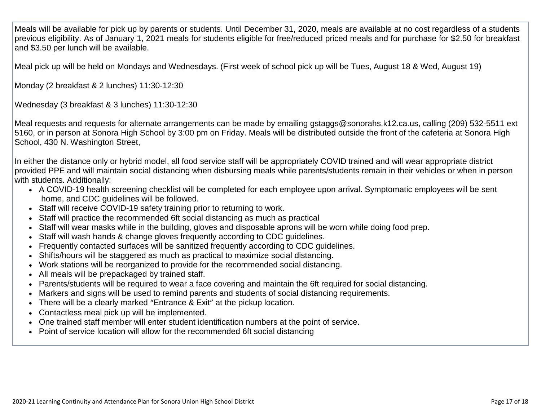Meals will be available for pick up by parents or students. Until December 31, 2020, meals are available at no cost regardless of a students previous eligibility. As of January 1, 2021 meals for students eligible for free/reduced priced meals and for purchase for \$2.50 for breakfast and \$3.50 per lunch will be available.

Meal pick up will be held on Mondays and Wednesdays. (First week of school pick up will be Tues, August 18 & Wed, August 19)

Monday (2 breakfast & 2 lunches) 11:30-12:30

Wednesday (3 breakfast & 3 lunches) 11:30-12:30

Meal requests and requests for alternate arrangements can be made by emailing gstaggs@sonorahs.k12.ca.us, calling (209) 532-5511 ext 5160, or in person at Sonora High School by 3:00 pm on Friday. Meals will be distributed outside the front of the cafeteria at Sonora High School, 430 N. Washington Street,

In either the distance only or hybrid model, all food service staff will be appropriately COVID trained and will wear appropriate district provided PPE and will maintain social distancing when disbursing meals while parents/students remain in their vehicles or when in person with students. Additionally:

- A COVID-19 health screening checklist will be completed for each employee upon arrival. Symptomatic employees will be sent home, and CDC guidelines will be followed.
- Staff will receive COVID-19 safety training prior to returning to work.
- Staff will practice the recommended 6ft social distancing as much as practical
- Staff will wear masks while in the building, gloves and disposable aprons will be worn while doing food prep.
- Staff will wash hands & change gloves frequently according to CDC guidelines.
- Frequently contacted surfaces will be sanitized frequently according to CDC guidelines.
- Shifts/hours will be staggered as much as practical to maximize social distancing.
- Work stations will be reorganized to provide for the recommended social distancing.
- All meals will be prepackaged by trained staff.
- Parents/students will be required to wear a face covering and maintain the 6ft required for social distancing.
- Markers and signs will be used to remind parents and students of social distancing requirements.
- There will be a clearly marked "Entrance & Exit" at the pickup location.
- Contactless meal pick up will be implemented.
- One trained staff member will enter student identification numbers at the point of service.
- Point of service location will allow for the recommended 6ft social distancing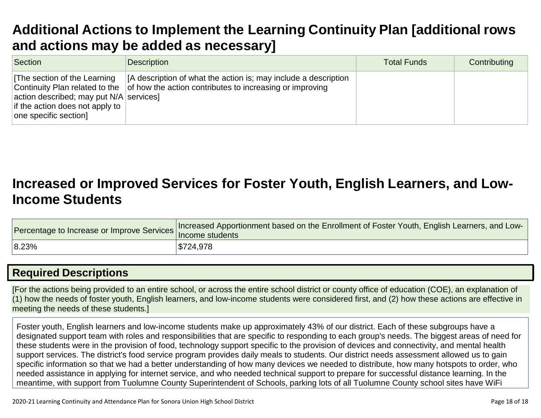## **Additional Actions to Implement [the Learning](http://www.doc-tracking.com/screenshots/20LCP/Instructions/20LCPInstructions.htm#AdditionalActions) Continuity Plan [additional row[s](http://www.doc-tracking.com/screenshots/20LCP/Instructions/20LCPInstructions.htm#AdditionalActions) and actions may be added [as necessary\]](http://www.doc-tracking.com/screenshots/20LCP/Instructions/20LCPInstructions.htm#AdditionalActions)**

| Section                                                                                                                                                                                | <b>Description</b>                                                                                                          | <b>Total Funds</b> | Contributing |
|----------------------------------------------------------------------------------------------------------------------------------------------------------------------------------------|-----------------------------------------------------------------------------------------------------------------------------|--------------------|--------------|
| <b>The section of the Learning</b><br>Continuity Plan related to the<br>$ $ action described; may put N/A $ $ services $ $<br>if the action does not apply to<br>one specific section] | [A description of what the action is; may include a description<br>of how the action contributes to increasing or improving |                    |              |

## **Increased or Improved [Services for Foster Youth,](http://www.doc-tracking.com/screenshots/20LCP/Instructions/20LCPInstructions.htm#IncreasedorImprovedServices) English Learners, and Low[-](http://www.doc-tracking.com/screenshots/20LCP/Instructions/20LCPInstructions.htm#IncreasedorImprovedServices)Income [Students](http://www.doc-tracking.com/screenshots/20LCP/Instructions/20LCPInstructions.htm#IncreasedorImprovedServices)**

| Procentage to Increase or Improve Services   Increased Presidents | Increased Apportionment based on the Enrollment of Foster Youth, English Learners, and Low- |
|-------------------------------------------------------------------|---------------------------------------------------------------------------------------------|
| 8.23%                                                             | \$724,978                                                                                   |

## **Required [Descriptions](http://www.doc-tracking.com/screenshots/20LCP/Instructions/20LCPInstructions.htm#RequiredDescriptions)**

[For the actions being provided to an entire school, or across the entire school district or county office of education (COE), an explanation of (1) how the needs of foster youth, English learners, and low-income students were considered first, and (2) how these actions are effective in meeting the needs of these students.]

Foster youth, English learners and low-income students make up approximately 43% of our district. Each of these subgroups have a designated support team with roles and responsibilities that are specific to responding to each group's needs. The biggest areas of need for these students were in the provision of food, technology support specific to the provision of devices and connectivity, and mental health support services. The district's food service program provides daily meals to students. Our district needs assessment allowed us to gain specific information so that we had a better understanding of how many devices we needed to distribute, how many hotspots to order, who needed assistance in applying for internet service, and who needed technical support to prepare for successful distance learning. In the meantime, with support from Tuolumne County Superintendent of Schools, parking lots of all Tuolumne County school sites have WiFi